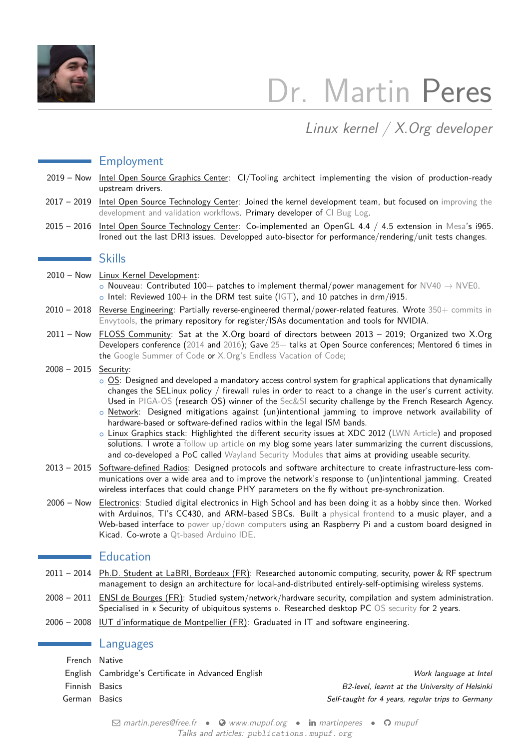

# Dr. Martin Peres

Linux kernel / X.Org developer

### Employment

- 2019 Now Intel Open Source Graphics Center: CI/Tooling architect implementing the vision of production-ready upstream drivers.
- 2017 2019 Intel Open Source Technology Center: Joined the kernel development team, but focused on [improving the](https://publications.mupuf.org/publication/2019/02/02/intel-gfx-ci-doing-validation-linux-way/) [development and validation workflows.](https://publications.mupuf.org/publication/2019/02/02/intel-gfx-ci-doing-validation-linux-way/) Primary developer of [CI Bug Log.](https://gitlab.freedesktop.org/gfx-ci/cibuglog)
- 2015 2016 Intel Open Source Technology Center: Co-implemented an OpenGL 4.4 / 4.5 extension in [Mesa'](https://gitlab.freedesktop.org/mesa/mesa/-/commits/master?search=Martin+Peres)s i965. Ironed out the last DRI3 issues. Developped auto-bisector for performance/rendering/unit tests changes.

#### Skills

- 2010 Now Linux Kernel Development:  $\circ$  Nouveau: Contributed 100+ patches to implement thermal/power management for NV40  $\rightarrow$  [NVE0.](https://nouveau.freedesktop.org/wiki/CodeNames/)  $\circ$  Intel: Reviewed 100+ in the DRM test suite [\(IGT\)](https://gitlab.freedesktop.org/drm/igt-gpu-tools), and 10 patches in drm/i915.
- 2010 2018 Reverse Engineering: Partially reverse-engineered thermal/power-related features. Wrote [350+ commits in](https://github.com/envytools/envytools/commits?author=mupuf) [Envytools,](https://github.com/envytools/envytools/commits?author=mupuf) the primary repository for register/ISAs documentation and tools for NVIDIA.
- 2011 Now FLOSS Community: Sat at the X.Org board of directors between 2013 2019; Organized two X.Org Developers conference [\(2014](https://www.x.org/wiki/Events/XDC2014/) and [2016\)](https://www.x.org/wiki/Events/XDC2016/); Gave [25+](https://publications.mupuf.org) talks at Open Source conferences; Mentored 6 times in the [Google Summer of Code](https://summerofcode.withgoogle.com/) or [X.Org's Endless Vacation of Code;](https://xorg.freedesktop.org/wiki/XorgEVoC/)

#### 2008 – 2015 Security:

- o OS: Designed and developed a mandatory access control system for graphical applications that dynamically changes the SELinux policy / firewall rules in order to react to a change in the user's current activity. Used in [PIGA-OS](https://phd.mupuf.org/publication/2010/05/17/a-dynamic-end-to-end-security-for-coordinating-multiple-protections-within-a-linux-desktop/) (research OS) winner of the [Sec&SI](https://www.agence-nationale-recherche.fr/informations/actualites/detail/resultats-du-defi-sec-si-systeme-d-exploitation-cloisonne-securise-pour-l-internaute/) security challenge by the French Research Agency.
- $\circ$  Network: Designed mitigations against (un)intentional jamming to improve network availability of hardware-based or software-defined radios within the legal ISM bands.
- o Linux Graphics stack: Highlighted the different security issues at XDC 2012 [\(LWN Article\)](https://lwn.net/Articles/517375/) and proposed solutions. I wrote a [follow up article](https://mupuf.org/blog/2014/02/19/wayland-compositors-why-and-how-to-handle/) on my blog some years later summarizing the current discussions, and co-developed a PoC called [Wayland Security Modules](https://www.x.org/wiki/Events/XDC2014/XDC2014DodierPeresSecurity/) that aims at providing useable security.
- 2013 2015 Software-defined Radios: Designed protocols and software architecture to create infrastructure-less communications over a wide area and to improve the network's response to (un)intentional jamming. Created wireless interfaces that could change PHY parameters on the fly without pre-synchronization.
- 2006 Now Electronics: Studied digital electronics in High School and has been doing it as a hobby since then. Worked with Arduinos, TI's CC430, and ARM-based SBCs. Built a [physical frontend](http://www.mupuf.org/blog/2011/06/14/an_arduino-based_frontend_to_my_audio-player_cmus/) to a music player, and a Web-based interface to [power up/down computers](https://www.mupuf.org/blog/2013/05/11/wtrpm-a-web-based-wt-suite-to-power-up-slash-down-your-computers/) using an Raspberry Pi and a custom board designed in Kicad. Co-wrote a [Qt-based Arduino IDE.](https://www.mupuf.org/project/arduide.html)

#### **Education**

- 2011 2014 Ph.D. Student at LaBRI, Bordeaux (FR): Researched autonomic computing, security, power & RF spectrum management to design an architecture for local-and-distributed entirely-self-optimising wireless systems.
- 2008 2011 ENSI de Bourges (FR): Studied system/network/hardware security, compilation and system administration. Specialised in « Security of ubiquitous systems ». Researched desktop PC [OS security](https://phd.mupuf.org/publication/2010/05/17/a-dynamic-end-to-end-security-for-coordinating-multiple-protections-within-a-linux-desktop/) for 2 years.
- 2006 2008 IUT d'informatique de Montpellier (FR): Graduated in IT and software engineering.

#### **Languages**

| French Native                                       |                                                   |
|-----------------------------------------------------|---------------------------------------------------|
| English Cambridge's Certificate in Advanced English | Work language at Intel                            |
| Finnish Basics                                      | B2-level, learnt at the University of Helsinki    |
| Basics                                              | Self-taught for 4 years, regular trips to Germany |
|                                                     |                                                   |